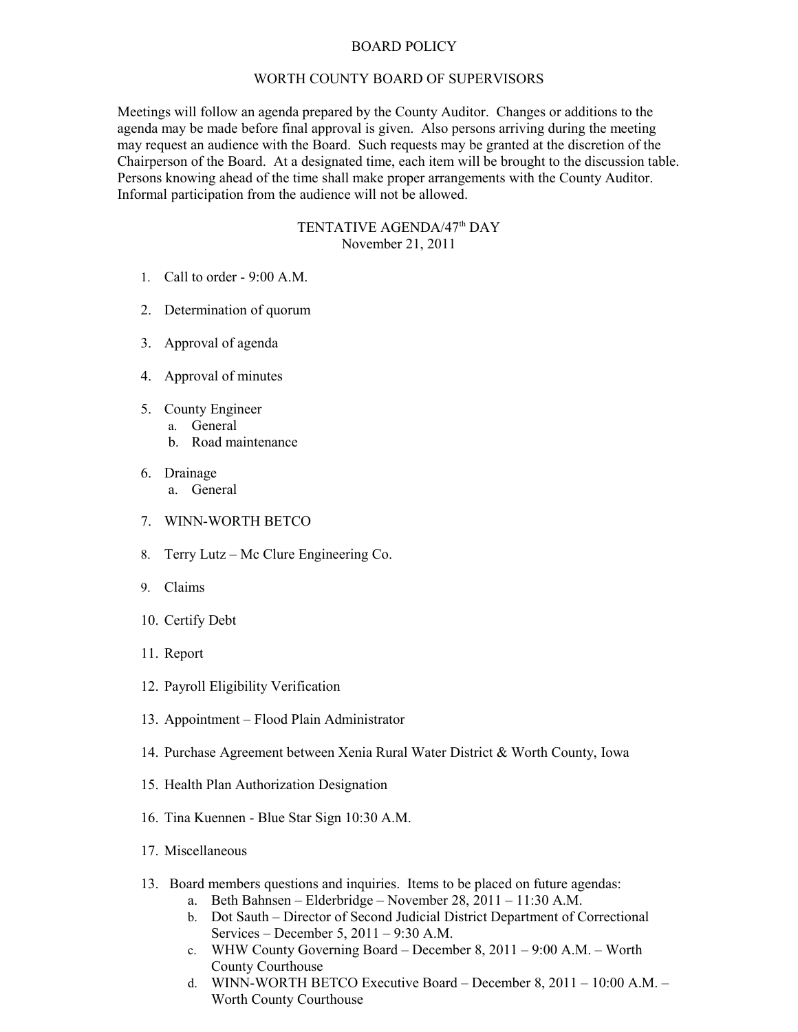## BOARD POLICY

## WORTH COUNTY BOARD OF SUPERVISORS

Meetings will follow an agenda prepared by the County Auditor. Changes or additions to the agenda may be made before final approval is given. Also persons arriving during the meeting may request an audience with the Board. Such requests may be granted at the discretion of the Chairperson of the Board. At a designated time, each item will be brought to the discussion table. Persons knowing ahead of the time shall make proper arrangements with the County Auditor. Informal participation from the audience will not be allowed.

## TENTATIVE AGENDA/47<sup>th</sup> DAY November 21, 2011

- 1. Call to order 9:00 A.M.
- 2. Determination of quorum
- 3. Approval of agenda
- 4. Approval of minutes
- 5. County Engineer
	- a. General
		- b. Road maintenance
- 6. Drainage
	- a. General
- 7. WINN-WORTH BETCO
- 8. Terry Lutz Mc Clure Engineering Co.
- 9. Claims
- 10. Certify Debt
- 11. Report
- 12. Payroll Eligibility Verification
- 13. Appointment Flood Plain Administrator
- 14. Purchase Agreement between Xenia Rural Water District & Worth County, Iowa
- 15. Health Plan Authorization Designation
- 16. Tina Kuennen Blue Star Sign 10:30 A.M.
- 17. Miscellaneous
- 13. Board members questions and inquiries. Items to be placed on future agendas:
	- a. Beth Bahnsen Elderbridge November 28, 2011 11:30 A.M.
	- b. Dot Sauth Director of Second Judicial District Department of Correctional Services – December 5, 2011 – 9:30 A.M.
	- c. WHW County Governing Board December 8, 2011 9:00 A.M. Worth County Courthouse
	- d. WINN-WORTH BETCO Executive Board December 8, 2011 10:00 A.M. Worth County Courthouse